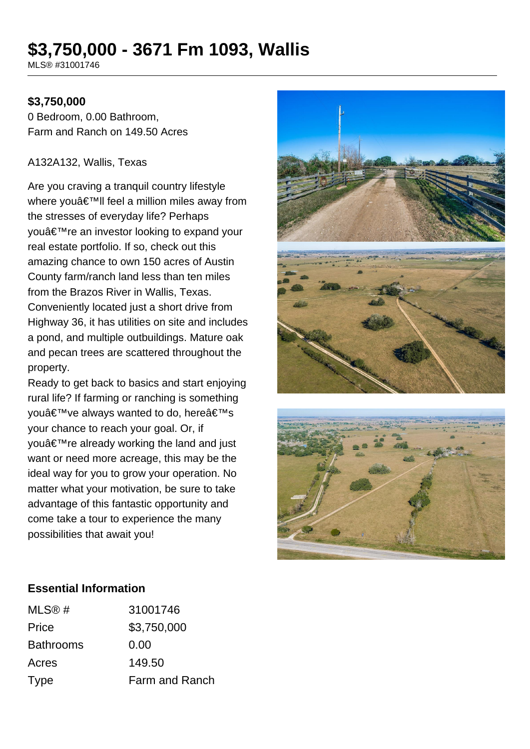# **\$3,750,000 - 3671 Fm 1093, Wallis**

MLS® #31001746

## **\$3,750,000**

0 Bedroom, 0.00 Bathroom, Farm and Ranch on 149.50 Acres

#### A132A132, Wallis, Texas

Are you craving a tranquil country lifestyle where you'II feel a million miles away from the stresses of everyday life? Perhaps youâ€<sup>™</sup>re an investor looking to expand your real estate portfolio. If so, check out this amazing chance to own 150 acres of Austin County farm/ranch land less than ten miles from the Brazos River in Wallis, Texas. Conveniently located just a short drive from Highway 36, it has utilities on site and includes a pond, and multiple outbuildings. Mature oak and pecan trees are scattered throughout the property.

Ready to get back to basics and start enjoying rural life? If farming or ranching is something you've always wanted to do, here's your chance to reach your goal. Or, if vou're already working the land and just want or need more acreage, this may be the ideal way for you to grow your operation. No matter what your motivation, be sure to take advantage of this fantastic opportunity and come take a tour to experience the many possibilities that await you!





### **Essential Information**

| MLS@#            | 31001746       |
|------------------|----------------|
| Price            | \$3,750,000    |
| <b>Bathrooms</b> | 0.00           |
| Acres            | 149.50         |
| <b>Type</b>      | Farm and Ranch |
|                  |                |